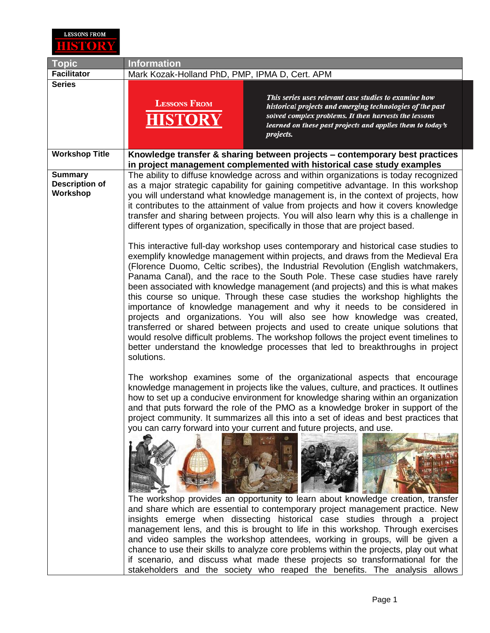

| <b>Topic</b>                                        | <b>Information</b>                                                                                                                                                                                                                                                                                                                                                                                                                                                                                                                                                                                                                                                                                                                                                                                                                                                                                                                                                                                                                                                                                                                                                                                                                                                                                                                                                                                                                                                                        |
|-----------------------------------------------------|-------------------------------------------------------------------------------------------------------------------------------------------------------------------------------------------------------------------------------------------------------------------------------------------------------------------------------------------------------------------------------------------------------------------------------------------------------------------------------------------------------------------------------------------------------------------------------------------------------------------------------------------------------------------------------------------------------------------------------------------------------------------------------------------------------------------------------------------------------------------------------------------------------------------------------------------------------------------------------------------------------------------------------------------------------------------------------------------------------------------------------------------------------------------------------------------------------------------------------------------------------------------------------------------------------------------------------------------------------------------------------------------------------------------------------------------------------------------------------------------|
| <b>Facilitator</b>                                  | Mark Kozak-Holland PhD, PMP, IPMA D, Cert. APM                                                                                                                                                                                                                                                                                                                                                                                                                                                                                                                                                                                                                                                                                                                                                                                                                                                                                                                                                                                                                                                                                                                                                                                                                                                                                                                                                                                                                                            |
| <b>Series</b>                                       | This series uses relevant case studies to examine how<br><b>LESSONS FROM</b><br>historical projects and emerging technologies of the past<br>solved complex problems. It then harvests the lessons<br>learned on these past projects and applies them to today's<br>projects.                                                                                                                                                                                                                                                                                                                                                                                                                                                                                                                                                                                                                                                                                                                                                                                                                                                                                                                                                                                                                                                                                                                                                                                                             |
| <b>Workshop Title</b>                               | Knowledge transfer & sharing between projects – contemporary best practices<br>in project management complemented with historical case study examples                                                                                                                                                                                                                                                                                                                                                                                                                                                                                                                                                                                                                                                                                                                                                                                                                                                                                                                                                                                                                                                                                                                                                                                                                                                                                                                                     |
| <b>Summary</b><br><b>Description of</b><br>Workshop | The ability to diffuse knowledge across and within organizations is today recognized<br>as a major strategic capability for gaining competitive advantage. In this workshop<br>you will understand what knowledge management is, in the context of projects, how<br>it contributes to the attainment of value from projects and how it covers knowledge<br>transfer and sharing between projects. You will also learn why this is a challenge in<br>different types of organization, specifically in those that are project based.<br>This interactive full-day workshop uses contemporary and historical case studies to<br>exemplify knowledge management within projects, and draws from the Medieval Era<br>(Florence Duomo, Celtic scribes), the Industrial Revolution (English watchmakers,<br>Panama Canal), and the race to the South Pole. These case studies have rarely<br>been associated with knowledge management (and projects) and this is what makes<br>this course so unique. Through these case studies the workshop highlights the<br>importance of knowledge management and why it needs to be considered in<br>projects and organizations. You will also see how knowledge was created,<br>transferred or shared between projects and used to create unique solutions that<br>would resolve difficult problems. The workshop follows the project event timelines to<br>better understand the knowledge processes that led to breakthroughs in project<br>solutions. |
|                                                     | The workshop examines some of the organizational aspects that encourage<br>knowledge management in projects like the values, culture, and practices. It outlines<br>how to set up a conducive environment for knowledge sharing within an organization<br>and that puts forward the role of the PMO as a knowledge broker in support of the<br>project community. It summarizes all this into a set of ideas and best practices that<br>you can carry forward into your current and future projects, and use.<br>The workshop provides an opportunity to learn about knowledge creation, transfer<br>and share which are essential to contemporary project management practice. New<br>insights emerge when dissecting historical case studies through a project<br>management lens, and this is brought to life in this workshop. Through exercises<br>and video samples the workshop attendees, working in groups, will be given a<br>chance to use their skills to analyze core problems within the projects, play out what<br>if scenario, and discuss what made these projects so transformational for the<br>stakeholders and the society who reaped the benefits. The analysis allows                                                                                                                                                                                                                                                                                              |